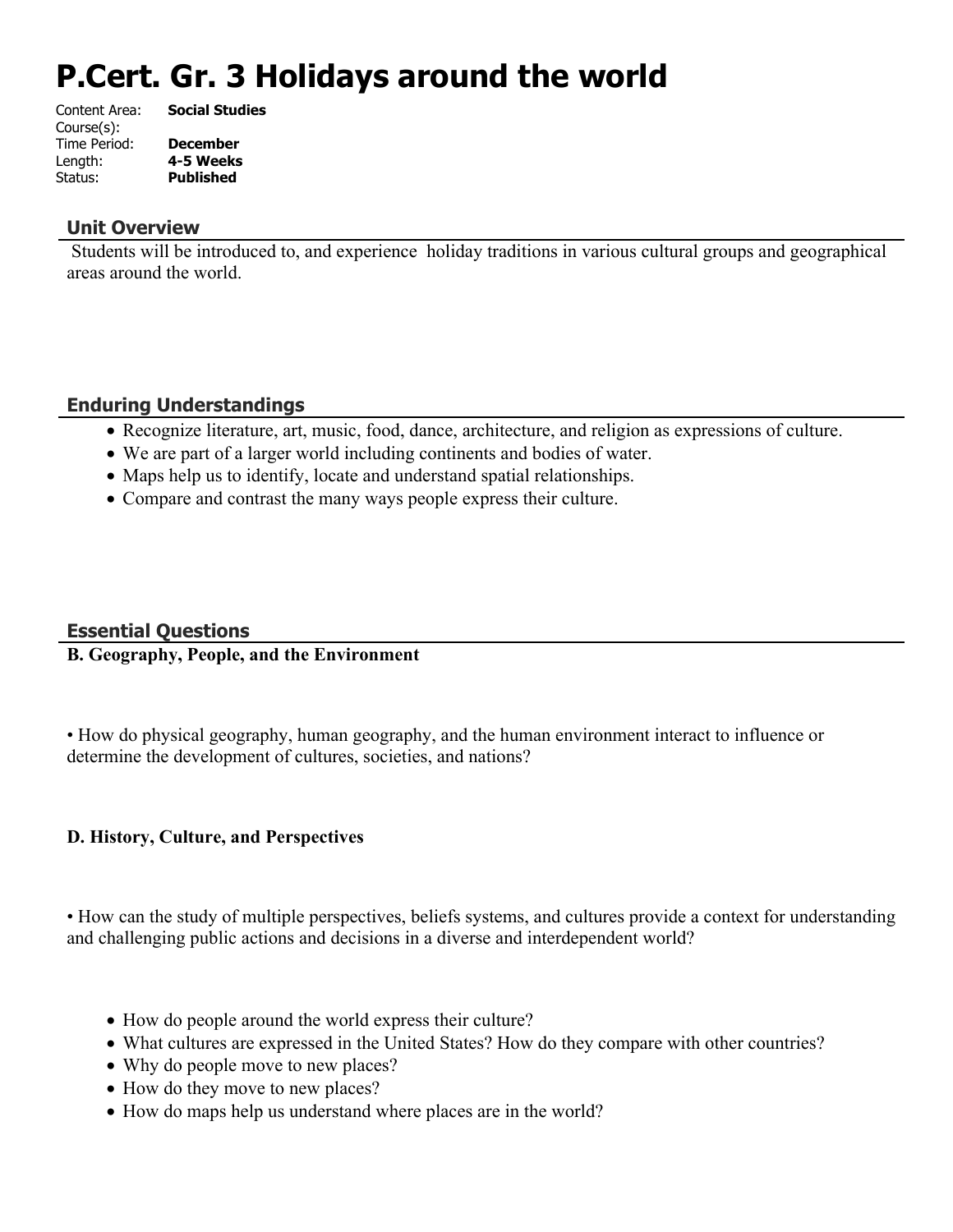# **P.Cert. Gr. 3 Holidays around the world**

| Content Area: | <b>Social Studies</b> |
|---------------|-----------------------|
| Course(s):    |                       |
| Time Period:  | <b>December</b>       |
| Length:       | 4-5 Weeks             |
| Status:       | <b>Published</b>      |
|               |                       |

#### **Unit Overview**

 Students will be introduced to, and experience holiday traditions in various cultural groups and geographical areas around the world.

# **Enduring Understandings**

- Recognize literature, art, music, food, dance, architecture, and religion as expressions of culture.
- We are part of a larger world including continents and bodies of water.
- Maps help us to identify, locate and understand spatial relationships.
- Compare and contrast the many ways people express their culture.

# **Essential Questions**

#### **B. Geography, People, and the Environment**

• How do physical geography, human geography, and the human environment interact to influence or determine the development of cultures, societies, and nations?

# **D. History, Culture, and Perspectives**

• How can the study of multiple perspectives, beliefs systems, and cultures provide a context for understanding and challenging public actions and decisions in a diverse and interdependent world?

- How do people around the world express their culture?
- What cultures are expressed in the United States? How do they compare with other countries?
- Why do people move to new places?
- How do they move to new places?
- How do maps help us understand where places are in the world?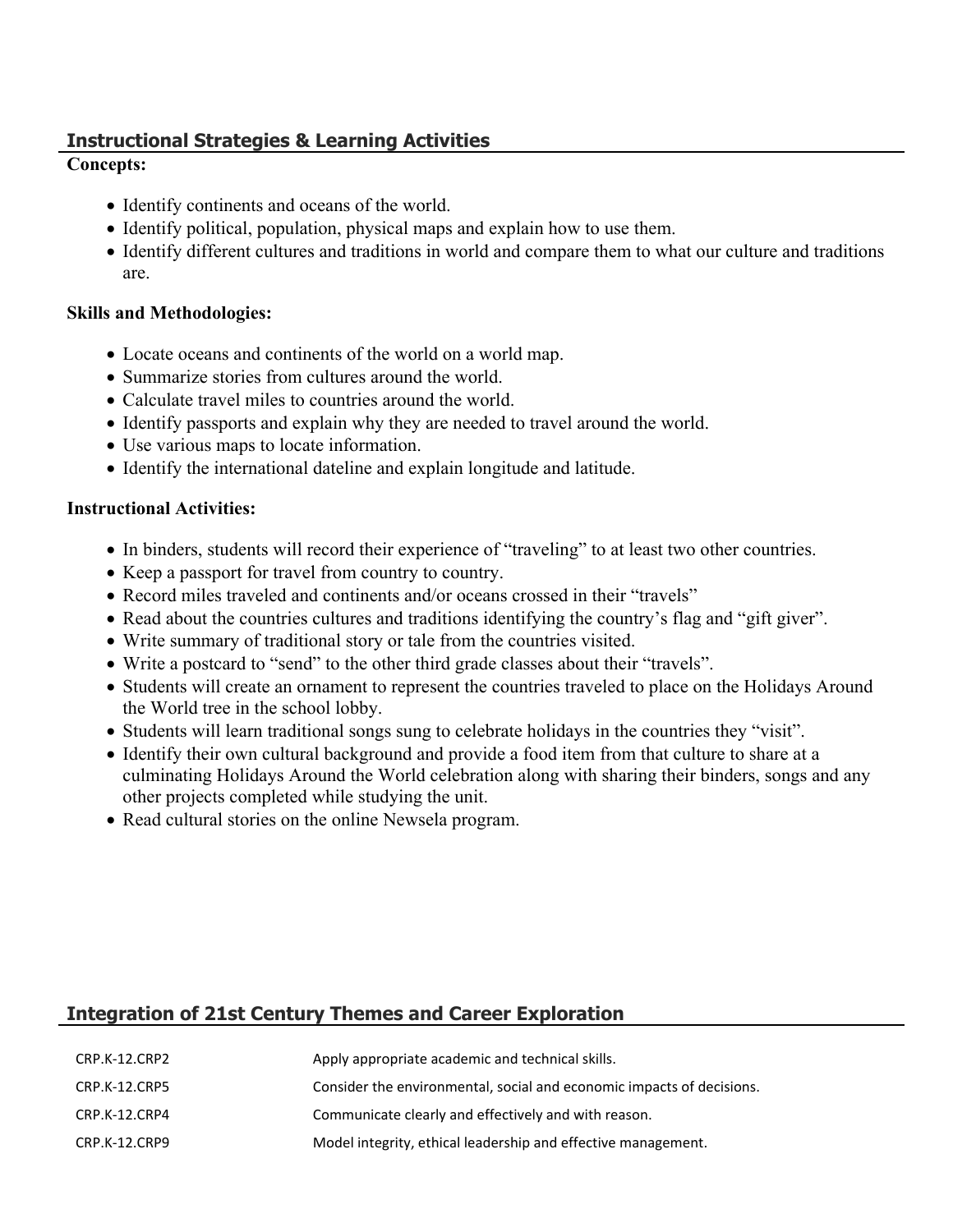# **Instructional Strategies & Learning Activities**

#### **Concepts:**

- Identify continents and oceans of the world.
- Identify political, population, physical maps and explain how to use them.
- Identify different cultures and traditions in world and compare them to what our culture and traditions are.

#### **Skills and Methodologies:**

- Locate oceans and continents of the world on a world map.
- Summarize stories from cultures around the world.
- Calculate travel miles to countries around the world.
- Identify passports and explain why they are needed to travel around the world.
- Use various maps to locate information.
- Identify the international dateline and explain longitude and latitude.

#### **Instructional Activities:**

- In binders, students will record their experience of "traveling" to at least two other countries.
- Keep a passport for travel from country to country.
- Record miles traveled and continents and/or oceans crossed in their "travels"
- Read about the countries cultures and traditions identifying the country's flag and "gift giver".
- Write summary of traditional story or tale from the countries visited.
- Write a postcard to "send" to the other third grade classes about their "travels".
- Students will create an ornament to represent the countries traveled to place on the Holidays Around the World tree in the school lobby.
- Students will learn traditional songs sung to celebrate holidays in the countries they "visit".
- Identify their own cultural background and provide a food item from that culture to share at a culminating Holidays Around the World celebration along with sharing their binders, songs and any other projects completed while studying the unit.
- Read cultural stories on the online Newsela program.

# **Integration of 21st Century Themes and Career Exploration**

| CRP.K-12.CRP2 | Apply appropriate academic and technical skills.                      |
|---------------|-----------------------------------------------------------------------|
| CRP.K-12.CRP5 | Consider the environmental, social and economic impacts of decisions. |
| CRP.K-12.CRP4 | Communicate clearly and effectively and with reason.                  |
| CRP.K-12.CRP9 | Model integrity, ethical leadership and effective management.         |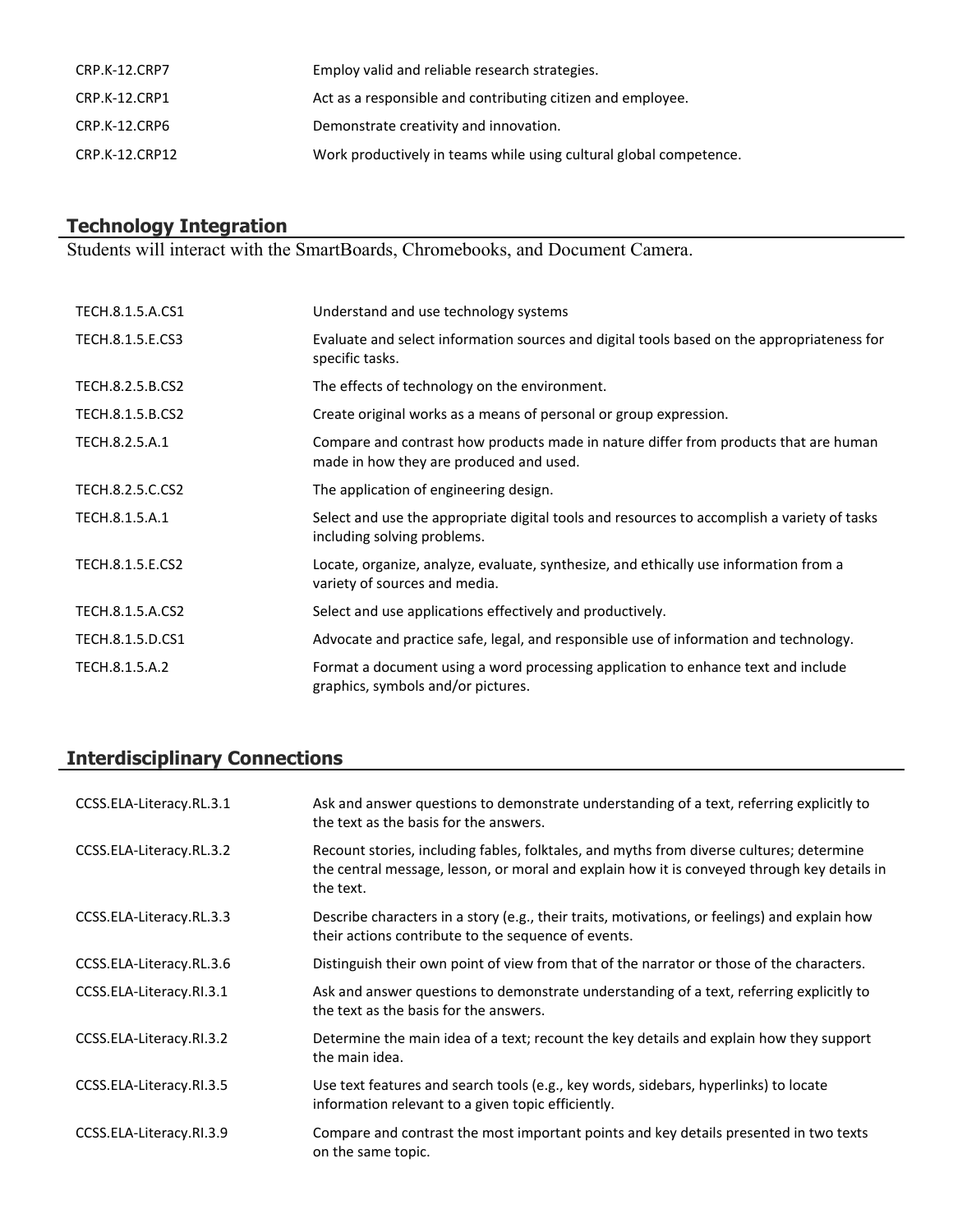| CRP.K-12.CRP7  | Employ valid and reliable research strategies.                     |
|----------------|--------------------------------------------------------------------|
| CRP.K-12.CRP1  | Act as a responsible and contributing citizen and employee.        |
| CRP.K-12.CRP6  | Demonstrate creativity and innovation.                             |
| CRP.K-12.CRP12 | Work productively in teams while using cultural global competence. |

#### **Technology Integration**

Students will interact with the SmartBoards, Chromebooks, and Document Camera.

| TECH.8.1.5.A.CS1 | Understand and use technology systems                                                                                           |
|------------------|---------------------------------------------------------------------------------------------------------------------------------|
| TECH.8.1.5.E.CS3 | Evaluate and select information sources and digital tools based on the appropriateness for<br>specific tasks.                   |
| TECH.8.2.5.B.CS2 | The effects of technology on the environment.                                                                                   |
| TECH.8.1.5.B.CS2 | Create original works as a means of personal or group expression.                                                               |
| TECH.8.2.5.A.1   | Compare and contrast how products made in nature differ from products that are human<br>made in how they are produced and used. |
| TECH.8.2.5.C.CS2 | The application of engineering design.                                                                                          |
| TECH.8.1.5.A.1   | Select and use the appropriate digital tools and resources to accomplish a variety of tasks<br>including solving problems.      |
| TECH.8.1.5.E.CS2 | Locate, organize, analyze, evaluate, synthesize, and ethically use information from a<br>variety of sources and media.          |
| TECH.8.1.5.A.CS2 | Select and use applications effectively and productively.                                                                       |
| TECH.8.1.5.D.CS1 | Advocate and practice safe, legal, and responsible use of information and technology.                                           |
| TECH.8.1.5.A.2   | Format a document using a word processing application to enhance text and include<br>graphics, symbols and/or pictures.         |

# **Interdisciplinary Connections**

| CCSS.ELA-Literacy.RL.3.1 | Ask and answer questions to demonstrate understanding of a text, referring explicitly to<br>the text as the basis for the answers.                                                                   |
|--------------------------|------------------------------------------------------------------------------------------------------------------------------------------------------------------------------------------------------|
| CCSS.ELA-Literacy.RL.3.2 | Recount stories, including fables, folktales, and myths from diverse cultures; determine<br>the central message, lesson, or moral and explain how it is conveyed through key details in<br>the text. |
| CCSS.ELA-Literacy.RL.3.3 | Describe characters in a story (e.g., their traits, motivations, or feelings) and explain how<br>their actions contribute to the sequence of events.                                                 |
| CCSS.ELA-Literacy.RL.3.6 | Distinguish their own point of view from that of the narrator or those of the characters.                                                                                                            |
| CCSS.ELA-Literacy.RI.3.1 | Ask and answer questions to demonstrate understanding of a text, referring explicitly to<br>the text as the basis for the answers.                                                                   |
| CCSS.ELA-Literacy.RI.3.2 | Determine the main idea of a text; recount the key details and explain how they support<br>the main idea.                                                                                            |
| CCSS.ELA-Literacy.RI.3.5 | Use text features and search tools (e.g., key words, sidebars, hyperlinks) to locate<br>information relevant to a given topic efficiently.                                                           |
| CCSS.ELA-Literacy.RI.3.9 | Compare and contrast the most important points and key details presented in two texts<br>on the same topic.                                                                                          |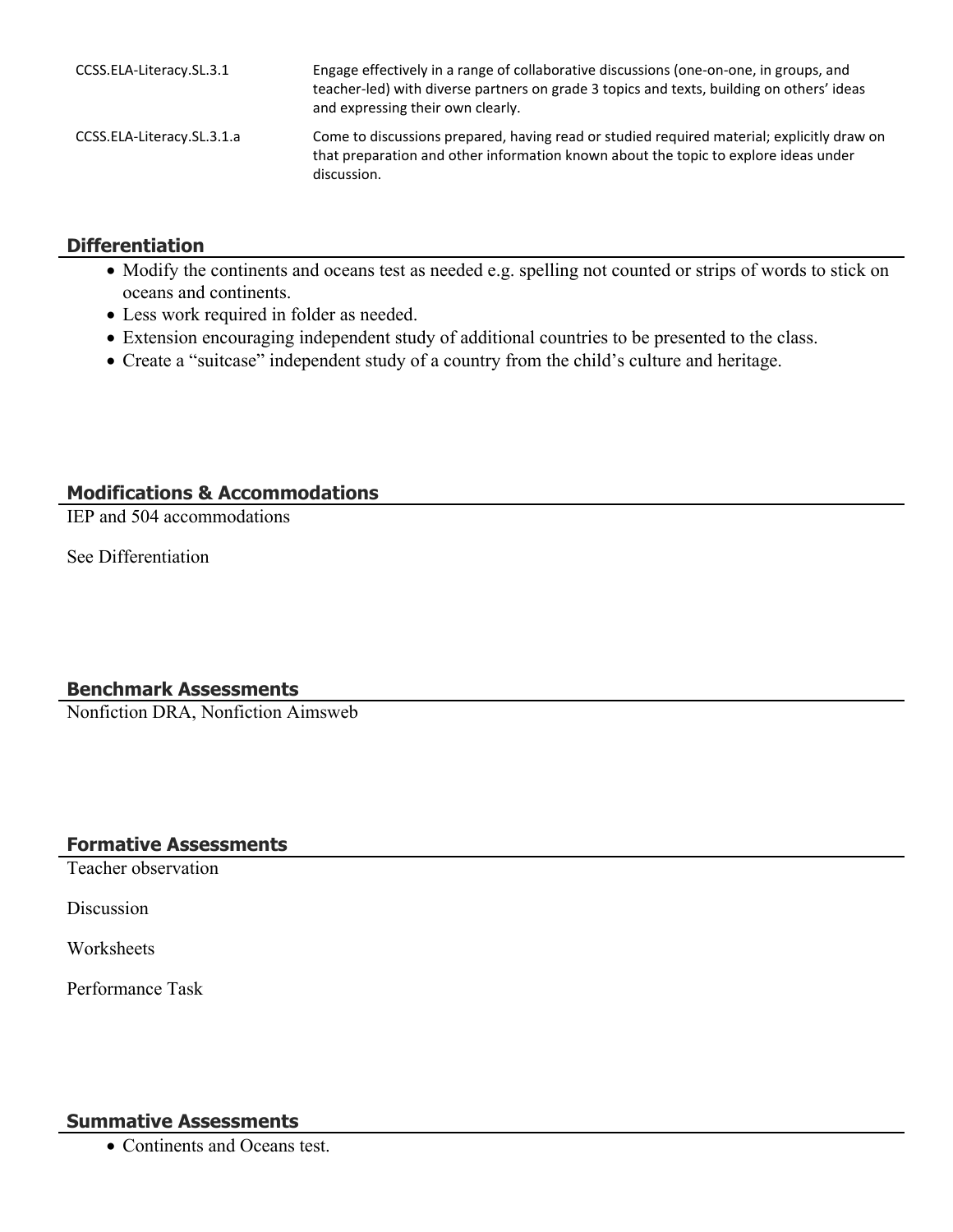| CCSS.ELA-Literacy.SL.3.1   | Engage effectively in a range of collaborative discussions (one-on-one, in groups, and<br>teacher-led) with diverse partners on grade 3 topics and texts, building on others' ideas<br>and expressing their own clearly. |
|----------------------------|--------------------------------------------------------------------------------------------------------------------------------------------------------------------------------------------------------------------------|
| CCSS.ELA-Literacy.SL.3.1.a | Come to discussions prepared, having read or studied required material; explicitly draw on<br>that preparation and other information known about the topic to explore ideas under<br>discussion.                         |

#### **Differentiation**

- Modify the continents and oceans test as needed e.g. spelling not counted or strips of words to stick on oceans and continents.
- Less work required in folder as needed.
- Extension encouraging independent study of additional countries to be presented to the class.
- Create a "suitcase" independent study of a country from the child's culture and heritage.

# **Modifications & Accommodations**

IEP and 504 accommodations

See Differentiation

# **Benchmark Assessments**

Nonfiction DRA, Nonfiction Aimsweb

# **Formative Assessments**

Teacher observation

Discussion

**Worksheets** 

Performance Task

# **Summative Assessments**

• Continents and Oceans test.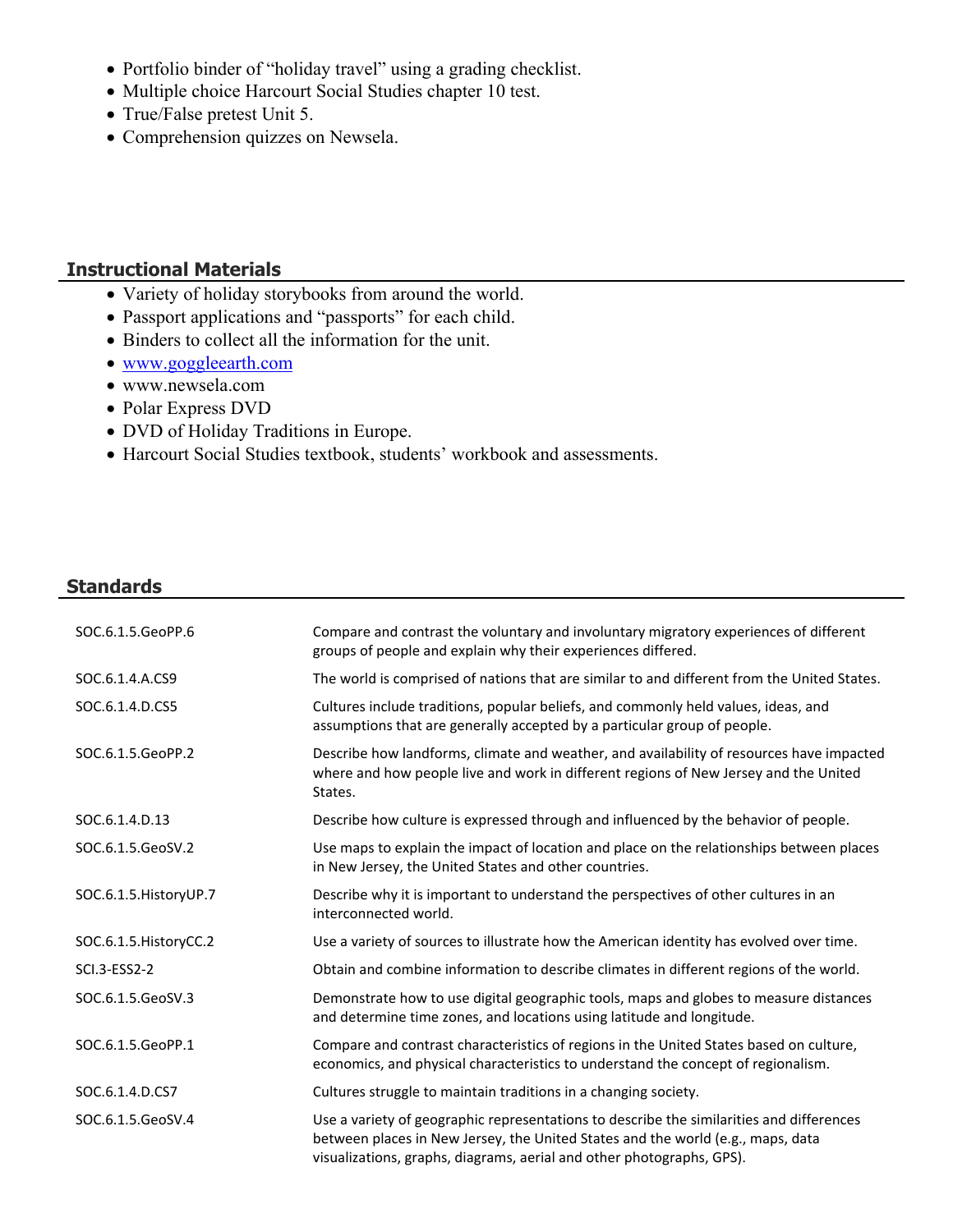- Portfolio binder of "holiday travel" using a grading checklist.
- Multiple choice Harcourt Social Studies chapter 10 test.
- True/False pretest Unit 5.
- Comprehension quizzes on Newsela.

#### **Instructional Materials**

- Variety of holiday storybooks from around the world.
- Passport applications and "passports" for each child.
- Binders to collect all the information for the unit.
- [www.goggleearth.com](http://www.goggleearth.com/)
- www.newsela.com
- Polar Express DVD
- DVD of Holiday Traditions in Europe.
- Harcourt Social Studies textbook, students' workbook and assessments.

#### **Standards**

| SOC.6.1.5.GeoPP.6      | Compare and contrast the voluntary and involuntary migratory experiences of different<br>groups of people and explain why their experiences differed.                                                                                                |
|------------------------|------------------------------------------------------------------------------------------------------------------------------------------------------------------------------------------------------------------------------------------------------|
| SOC.6.1.4.A.CS9        | The world is comprised of nations that are similar to and different from the United States.                                                                                                                                                          |
| SOC.6.1.4.D.CS5        | Cultures include traditions, popular beliefs, and commonly held values, ideas, and<br>assumptions that are generally accepted by a particular group of people.                                                                                       |
| SOC.6.1.5.GeoPP.2      | Describe how landforms, climate and weather, and availability of resources have impacted<br>where and how people live and work in different regions of New Jersey and the United<br>States.                                                          |
| SOC.6.1.4.D.13         | Describe how culture is expressed through and influenced by the behavior of people.                                                                                                                                                                  |
| SOC.6.1.5.GeoSV.2      | Use maps to explain the impact of location and place on the relationships between places<br>in New Jersey, the United States and other countries.                                                                                                    |
| SOC.6.1.5. HistoryUP.7 | Describe why it is important to understand the perspectives of other cultures in an<br>interconnected world.                                                                                                                                         |
| SOC.6.1.5. HistoryCC.2 | Use a variety of sources to illustrate how the American identity has evolved over time.                                                                                                                                                              |
| SCI.3-ESS2-2           | Obtain and combine information to describe climates in different regions of the world.                                                                                                                                                               |
| SOC.6.1.5.GeoSV.3      | Demonstrate how to use digital geographic tools, maps and globes to measure distances<br>and determine time zones, and locations using latitude and longitude.                                                                                       |
| SOC.6.1.5.GeoPP.1      | Compare and contrast characteristics of regions in the United States based on culture,<br>economics, and physical characteristics to understand the concept of regionalism.                                                                          |
| SOC.6.1.4.D.CS7        | Cultures struggle to maintain traditions in a changing society.                                                                                                                                                                                      |
| SOC.6.1.5.GeoSV.4      | Use a variety of geographic representations to describe the similarities and differences<br>between places in New Jersey, the United States and the world (e.g., maps, data<br>visualizations, graphs, diagrams, aerial and other photographs, GPS). |